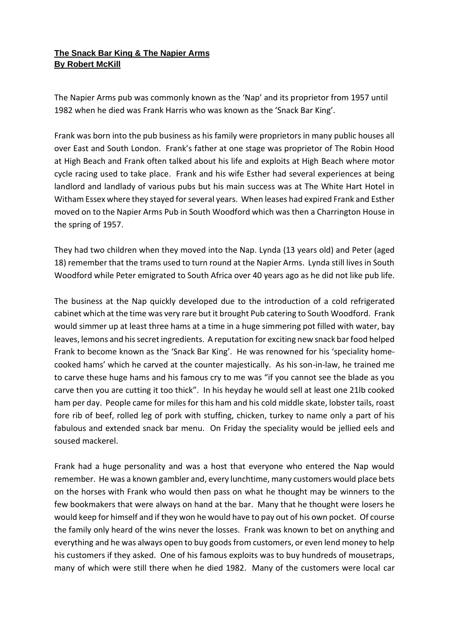## **The Snack Bar King & The Napier Arms By Robert McKill**

The Napier Arms pub was commonly known as the 'Nap' and its proprietor from 1957 until 1982 when he died was Frank Harris who was known as the 'Snack Bar King'.

Frank was born into the pub business as his family were proprietors in many public houses all over East and South London. Frank's father at one stage was proprietor of The Robin Hood at High Beach and Frank often talked about his life and exploits at High Beach where motor cycle racing used to take place. Frank and his wife Esther had several experiences at being landlord and landlady of various pubs but his main success was at The White Hart Hotel in Witham Essex where they stayed for several years. When leases had expired Frank and Esther moved on to the Napier Arms Pub in South Woodford which was then a Charrington House in the spring of 1957.

They had two children when they moved into the Nap. Lynda (13 years old) and Peter (aged 18) remember that the trams used to turn round at the Napier Arms. Lynda still lives in South Woodford while Peter emigrated to South Africa over 40 years ago as he did not like pub life.

The business at the Nap quickly developed due to the introduction of a cold refrigerated cabinet which at the time was very rare but it brought Pub catering to South Woodford. Frank would simmer up at least three hams at a time in a huge simmering pot filled with water, bay leaves, lemons and his secret ingredients. A reputation for exciting new snack bar food helped Frank to become known as the 'Snack Bar King'. He was renowned for his 'speciality homecooked hams' which he carved at the counter majestically. As his son-in-law, he trained me to carve these huge hams and his famous cry to me was "if you cannot see the blade as you carve then you are cutting it too thick". In his heyday he would sell at least one 21lb cooked ham per day. People came for miles for this ham and his cold middle skate, lobster tails, roast fore rib of beef, rolled leg of pork with stuffing, chicken, turkey to name only a part of his fabulous and extended snack bar menu. On Friday the speciality would be jellied eels and soused mackerel.

Frank had a huge personality and was a host that everyone who entered the Nap would remember. He was a known gambler and, every lunchtime, many customers would place bets on the horses with Frank who would then pass on what he thought may be winners to the few bookmakers that were always on hand at the bar. Many that he thought were losers he would keep for himself and if they won he would have to pay out of his own pocket. Of course the family only heard of the wins never the losses. Frank was known to bet on anything and everything and he was always open to buy goods from customers, or even lend money to help his customers if they asked. One of his famous exploits was to buy hundreds of mousetraps, many of which were still there when he died 1982. Many of the customers were local car